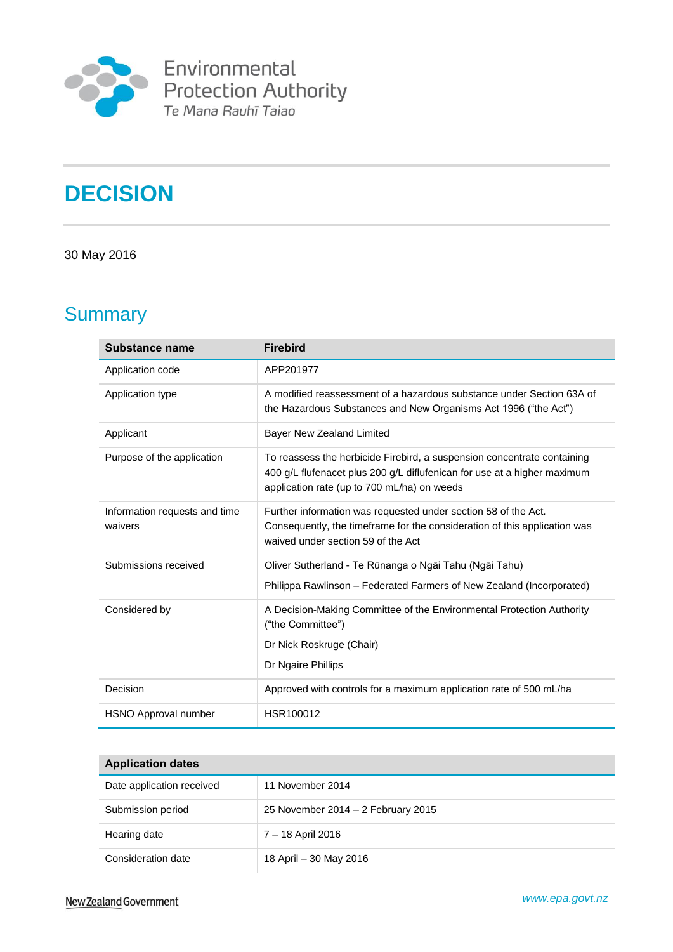

# **DECISION**

### 30 May 2016

# **Summary**

| Substance name                           | <b>Firebird</b>                                                                                                                                                                                    |
|------------------------------------------|----------------------------------------------------------------------------------------------------------------------------------------------------------------------------------------------------|
| Application code                         | APP201977                                                                                                                                                                                          |
| Application type                         | A modified reassessment of a hazardous substance under Section 63A of<br>the Hazardous Substances and New Organisms Act 1996 ("the Act")                                                           |
| Applicant                                | Bayer New Zealand Limited                                                                                                                                                                          |
| Purpose of the application               | To reassess the herbicide Firebird, a suspension concentrate containing<br>400 g/L flufenacet plus 200 g/L diflufenican for use at a higher maximum<br>application rate (up to 700 mL/ha) on weeds |
| Information requests and time<br>waivers | Further information was requested under section 58 of the Act.<br>Consequently, the timeframe for the consideration of this application was<br>waived under section 59 of the Act                  |
| Submissions received                     | Oliver Sutherland - Te Rūnanga o Ngāi Tahu (Ngāi Tahu)<br>Philippa Rawlinson - Federated Farmers of New Zealand (Incorporated)                                                                     |
| Considered by                            | A Decision-Making Committee of the Environmental Protection Authority<br>("the Committee")<br>Dr Nick Roskruge (Chair)<br>Dr Ngaire Phillips                                                       |
| Decision                                 | Approved with controls for a maximum application rate of 500 mL/ha                                                                                                                                 |
| HSNO Approval number                     | HSR100012                                                                                                                                                                                          |

| <b>Application dates</b>  |                                    |  |  |
|---------------------------|------------------------------------|--|--|
| Date application received | 11 November 2014                   |  |  |
| Submission period         | 25 November 2014 – 2 February 2015 |  |  |
| Hearing date              | 7 – 18 April 2016                  |  |  |
| Consideration date        | 18 April – 30 May 2016             |  |  |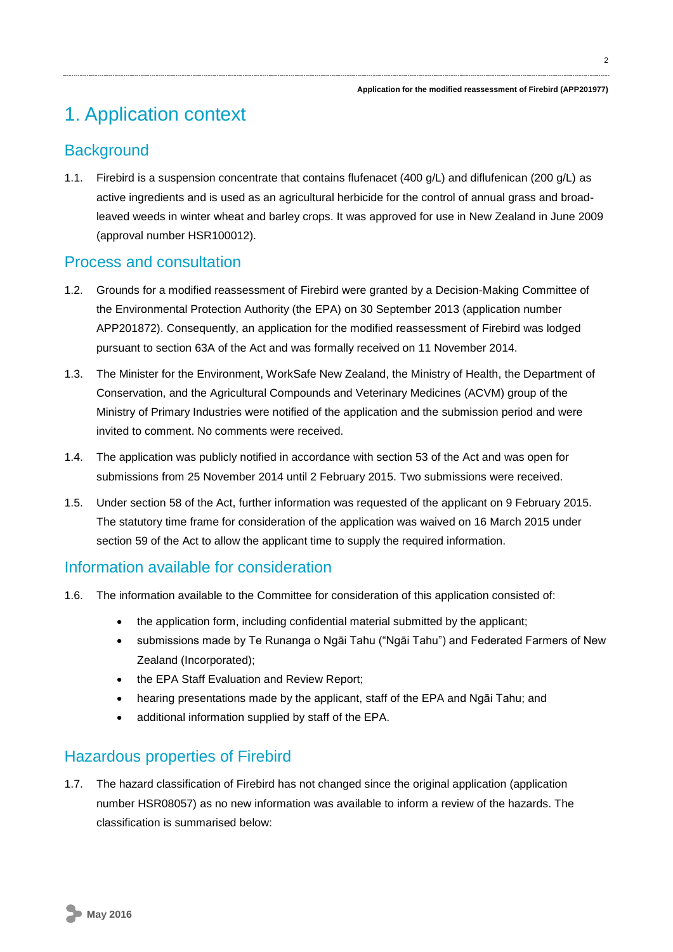# 1. Application context

# **Background**

1.1. Firebird is a suspension concentrate that contains flufenacet (400 g/L) and diflufenican (200 g/L) as active ingredients and is used as an agricultural herbicide for the control of annual grass and broadleaved weeds in winter wheat and barley crops. It was approved for use in New Zealand in June 2009 (approval number HSR100012).

# Process and consultation

- 1.2. Grounds for a modified reassessment of Firebird were granted by a Decision-Making Committee of the Environmental Protection Authority (the EPA) on 30 September 2013 (application number APP201872). Consequently, an application for the modified reassessment of Firebird was lodged pursuant to section 63A of the Act and was formally received on 11 November 2014.
- 1.3. The Minister for the Environment, WorkSafe New Zealand, the Ministry of Health, the Department of Conservation, and the Agricultural Compounds and Veterinary Medicines (ACVM) group of the Ministry of Primary Industries were notified of the application and the submission period and were invited to comment. No comments were received.
- 1.4. The application was publicly notified in accordance with section 53 of the Act and was open for submissions from 25 November 2014 until 2 February 2015. Two submissions were received.
- 1.5. Under section 58 of the Act, further information was requested of the applicant on 9 February 2015. The statutory time frame for consideration of the application was waived on 16 March 2015 under section 59 of the Act to allow the applicant time to supply the required information.

# Information available for consideration

- 1.6. The information available to the Committee for consideration of this application consisted of:
	- the application form, including confidential material submitted by the applicant;
	- submissions made by Te Runanga o Ngāi Tahu ("Ngāi Tahu") and Federated Farmers of New Zealand (Incorporated);
	- the EPA Staff Evaluation and Review Report;
	- hearing presentations made by the applicant, staff of the EPA and Ngāi Tahu; and
	- additional information supplied by staff of the EPA.

# Hazardous properties of Firebird

1.7. The hazard classification of Firebird has not changed since the original application (application number HSR08057) as no new information was available to inform a review of the hazards. The classification is summarised below: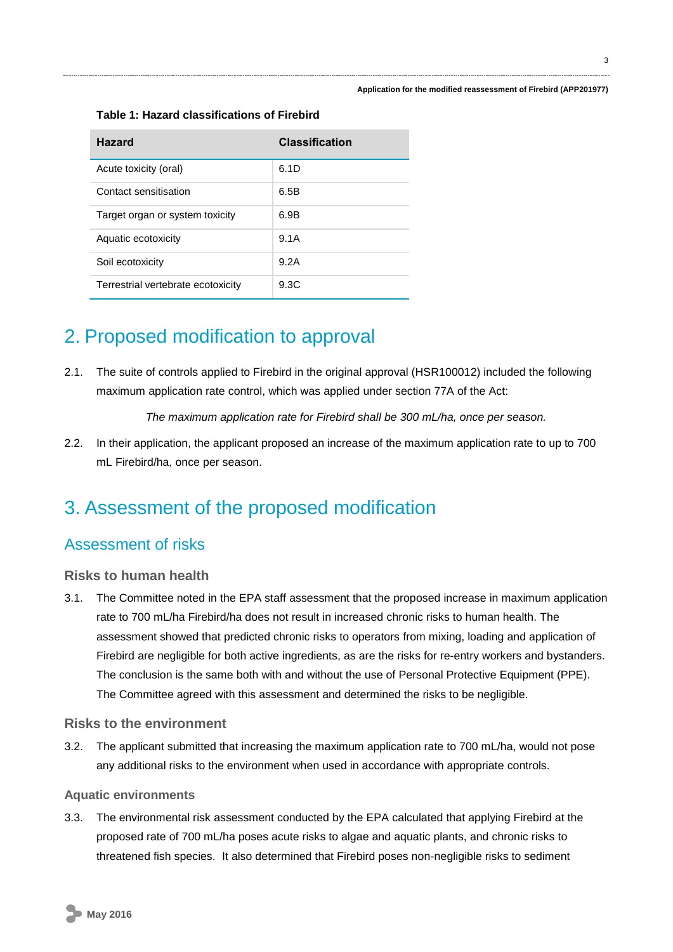#### **Table 1: Hazard classifications of Firebird**

| <b>Hazard</b>                      | <b>Classification</b> |
|------------------------------------|-----------------------|
| Acute toxicity (oral)              | 6.1D                  |
| Contact sensitisation              | 6.5B                  |
| Target organ or system toxicity    | 6.9B                  |
| Aquatic ecotoxicity                | 9.1A                  |
| Soil ecotoxicity                   | 9.2A                  |
| Terrestrial vertebrate ecotoxicity | 9.3C                  |

# 2. Proposed modification to approval

2.1. The suite of controls applied to Firebird in the original approval (HSR100012) included the following maximum application rate control, which was applied under section 77A of the Act:

*The maximum application rate for Firebird shall be 300 mL/ha, once per season.*

2.2. In their application, the applicant proposed an increase of the maximum application rate to up to 700 mL Firebird/ha, once per season.

# 3. Assessment of the proposed modification

# Assessment of risks

### **Risks to human health**

3.1. The Committee noted in the EPA staff assessment that the proposed increase in maximum application rate to 700 mL/ha Firebird/ha does not result in increased chronic risks to human health. The assessment showed that predicted chronic risks to operators from mixing, loading and application of Firebird are negligible for both active ingredients, as are the risks for re-entry workers and bystanders. The conclusion is the same both with and without the use of Personal Protective Equipment (PPE). The Committee agreed with this assessment and determined the risks to be negligible.

### **Risks to the environment**

3.2. The applicant submitted that increasing the maximum application rate to 700 mL/ha, would not pose any additional risks to the environment when used in accordance with appropriate controls.

### **Aquatic environments**

3.3. The environmental risk assessment conducted by the EPA calculated that applying Firebird at the proposed rate of 700 mL/ha poses acute risks to algae and aquatic plants, and chronic risks to threatened fish species. It also determined that Firebird poses non-negligible risks to sediment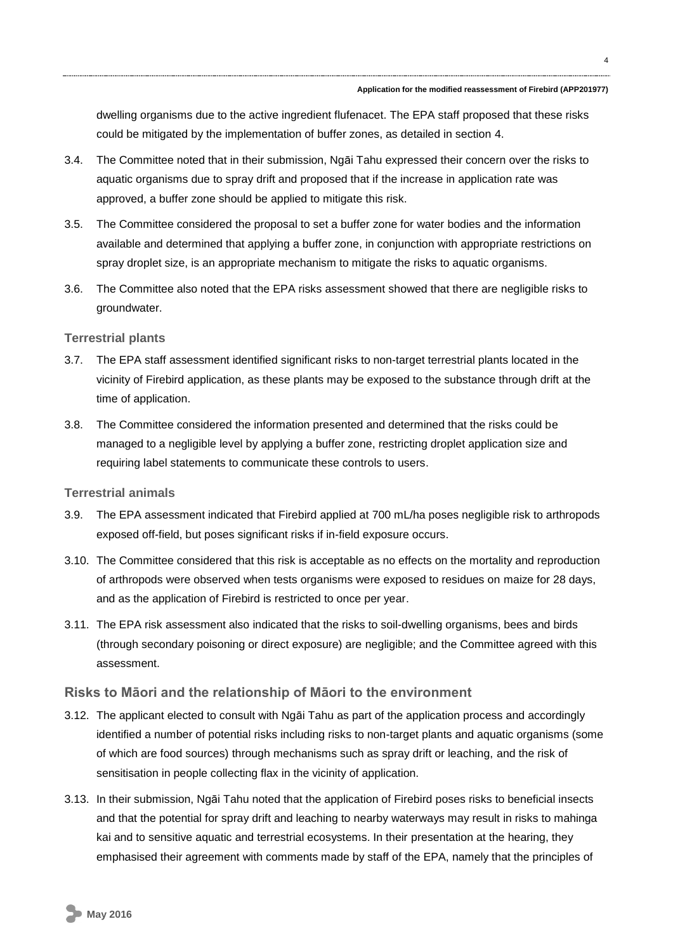dwelling organisms due to the active ingredient flufenacet. The EPA staff proposed that these risks could be mitigated by the implementation of buffer zones, as detailed in section [4.](#page-5-0)

- 3.4. The Committee noted that in their submission, Ngāi Tahu expressed their concern over the risks to aquatic organisms due to spray drift and proposed that if the increase in application rate was approved, a buffer zone should be applied to mitigate this risk.
- 3.5. The Committee considered the proposal to set a buffer zone for water bodies and the information available and determined that applying a buffer zone, in conjunction with appropriate restrictions on spray droplet size, is an appropriate mechanism to mitigate the risks to aquatic organisms.
- 3.6. The Committee also noted that the EPA risks assessment showed that there are negligible risks to groundwater.

#### **Terrestrial plants**

- 3.7. The EPA staff assessment identified significant risks to non-target terrestrial plants located in the vicinity of Firebird application, as these plants may be exposed to the substance through drift at the time of application.
- 3.8. The Committee considered the information presented and determined that the risks could be managed to a negligible level by applying a buffer zone, restricting droplet application size and requiring label statements to communicate these controls to users.

### **Terrestrial animals**

- 3.9. The EPA assessment indicated that Firebird applied at 700 mL/ha poses negligible risk to arthropods exposed off-field, but poses significant risks if in-field exposure occurs.
- 3.10. The Committee considered that this risk is acceptable as no effects on the mortality and reproduction of arthropods were observed when tests organisms were exposed to residues on maize for 28 days, and as the application of Firebird is restricted to once per year.
- 3.11. The EPA risk assessment also indicated that the risks to soil-dwelling organisms, bees and birds (through secondary poisoning or direct exposure) are negligible; and the Committee agreed with this assessment.

### **Risks to Māori and the relationship of Māori to the environment**

- 3.12. The applicant elected to consult with Ngāi Tahu as part of the application process and accordingly identified a number of potential risks including risks to non-target plants and aquatic organisms (some of which are food sources) through mechanisms such as spray drift or leaching, and the risk of sensitisation in people collecting flax in the vicinity of application.
- 3.13. In their submission, Ngāi Tahu noted that the application of Firebird poses risks to beneficial insects and that the potential for spray drift and leaching to nearby waterways may result in risks to mahinga kai and to sensitive aquatic and terrestrial ecosystems. In their presentation at the hearing, they emphasised their agreement with comments made by staff of the EPA, namely that the principles of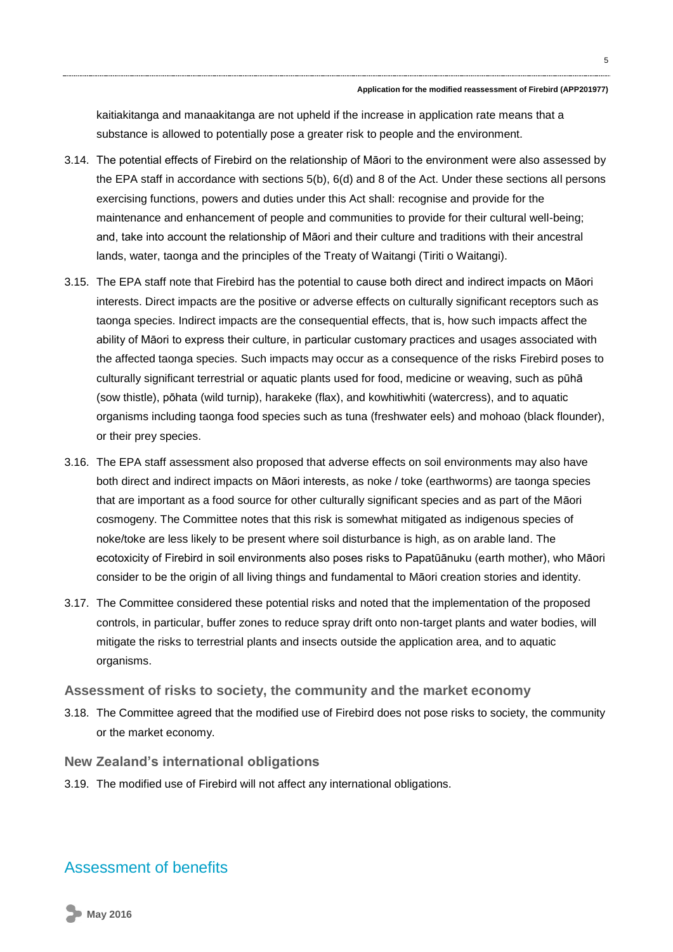kaitiakitanga and manaakitanga are not upheld if the increase in application rate means that a substance is allowed to potentially pose a greater risk to people and the environment.

- 3.14. The potential effects of Firebird on the relationship of Māori to the environment were also assessed by the EPA staff in accordance with sections 5(b), 6(d) and 8 of the Act. Under these sections all persons exercising functions, powers and duties under this Act shall: recognise and provide for the maintenance and enhancement of people and communities to provide for their cultural well-being; and, take into account the relationship of Māori and their culture and traditions with their ancestral lands, water, taonga and the principles of the Treaty of Waitangi (Tiriti o Waitangi).
- 3.15. The EPA staff note that Firebird has the potential to cause both direct and indirect impacts on Māori interests. Direct impacts are the positive or adverse effects on culturally significant receptors such as taonga species. Indirect impacts are the consequential effects, that is, how such impacts affect the ability of Māori to express their culture, in particular customary practices and usages associated with the affected taonga species. Such impacts may occur as a consequence of the risks Firebird poses to culturally significant terrestrial or aquatic plants used for food, medicine or weaving, such as pūhā (sow thistle), pōhata (wild turnip), harakeke (flax), and kowhitiwhiti (watercress), and to aquatic organisms including taonga food species such as tuna (freshwater eels) and mohoao (black flounder), or their prey species.
- 3.16. The EPA staff assessment also proposed that adverse effects on soil environments may also have both direct and indirect impacts on Māori interests, as noke / toke (earthworms) are taonga species that are important as a food source for other culturally significant species and as part of the Māori cosmogeny. The Committee notes that this risk is somewhat mitigated as indigenous species of noke/toke are less likely to be present where soil disturbance is high, as on arable land. The ecotoxicity of Firebird in soil environments also poses risks to Papatūānuku (earth mother), who Māori consider to be the origin of all living things and fundamental to Māori creation stories and identity.
- 3.17. The Committee considered these potential risks and noted that the implementation of the proposed controls, in particular, buffer zones to reduce spray drift onto non-target plants and water bodies, will mitigate the risks to terrestrial plants and insects outside the application area, and to aquatic organisms.

#### **Assessment of risks to society, the community and the market economy**

3.18. The Committee agreed that the modified use of Firebird does not pose risks to society, the community or the market economy.

#### **New Zealand's international obligations**

3.19. The modified use of Firebird will not affect any international obligations.

## Assessment of benefits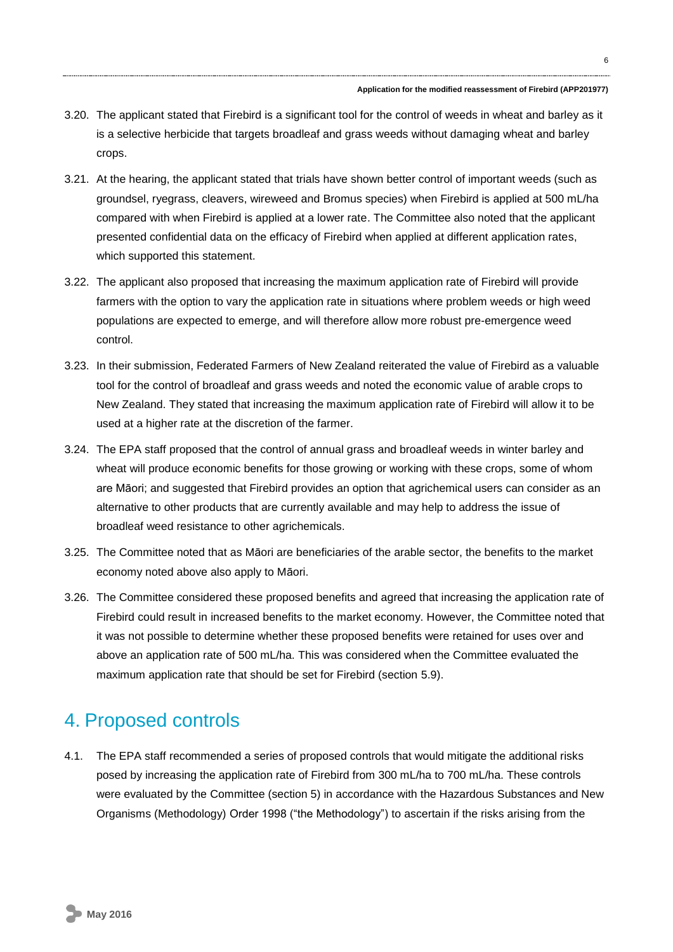- 3.20. The applicant stated that Firebird is a significant tool for the control of weeds in wheat and barley as it is a selective herbicide that targets broadleaf and grass weeds without damaging wheat and barley crops.
- 3.21. At the hearing, the applicant stated that trials have shown better control of important weeds (such as groundsel, ryegrass, cleavers, wireweed and Bromus species) when Firebird is applied at 500 mL/ha compared with when Firebird is applied at a lower rate. The Committee also noted that the applicant presented confidential data on the efficacy of Firebird when applied at different application rates, which supported this statement.
- 3.22. The applicant also proposed that increasing the maximum application rate of Firebird will provide farmers with the option to vary the application rate in situations where problem weeds or high weed populations are expected to emerge, and will therefore allow more robust pre-emergence weed control.
- 3.23. In their submission, Federated Farmers of New Zealand reiterated the value of Firebird as a valuable tool for the control of broadleaf and grass weeds and noted the economic value of arable crops to New Zealand. They stated that increasing the maximum application rate of Firebird will allow it to be used at a higher rate at the discretion of the farmer.
- 3.24. The EPA staff proposed that the control of annual grass and broadleaf weeds in winter barley and wheat will produce economic benefits for those growing or working with these crops, some of whom are Māori; and suggested that Firebird provides an option that agrichemical users can consider as an alternative to other products that are currently available and may help to address the issue of broadleaf weed resistance to other agrichemicals.
- 3.25. The Committee noted that as Māori are beneficiaries of the arable sector, the benefits to the market economy noted above also apply to Māori.
- 3.26. The Committee considered these proposed benefits and agreed that increasing the application rate of Firebird could result in increased benefits to the market economy. However, the Committee noted that it was not possible to determine whether these proposed benefits were retained for uses over and above an application rate of 500 mL/ha. This was considered when the Committee evaluated the maximum application rate that should be set for Firebird (section [5.9\)](#page-10-0).

# <span id="page-5-0"></span>4. Proposed controls

4.1. The EPA staff recommended a series of proposed controls that would mitigate the additional risks posed by increasing the application rate of Firebird from 300 mL/ha to 700 mL/ha. These controls were evaluated by the Committee (section [5\)](#page-9-0) in accordance with the Hazardous Substances and New Organisms (Methodology) Order 1998 ("the Methodology") to ascertain if the risks arising from the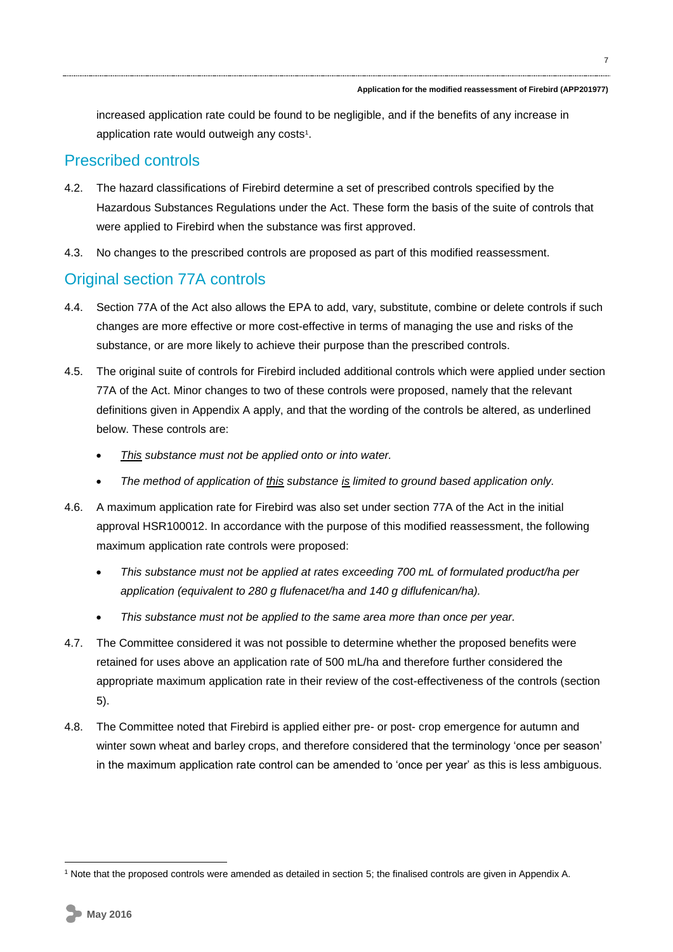7

increased application rate could be found to be negligible, and if the benefits of any increase in application rate would outweigh any costs<sup>1</sup>.

## Prescribed controls

- 4.2. The hazard classifications of Firebird determine a set of prescribed controls specified by the Hazardous Substances Regulations under the Act. These form the basis of the suite of controls that were applied to Firebird when the substance was first approved.
- 4.3. No changes to the prescribed controls are proposed as part of this modified reassessment.

# Original section 77A controls

- 4.4. Section 77A of the Act also allows the EPA to add, vary, substitute, combine or delete controls if such changes are more effective or more cost-effective in terms of managing the use and risks of the substance, or are more likely to achieve their purpose than the prescribed controls.
- 4.5. The original suite of controls for Firebird included additional controls which were applied under section 77A of the Act. Minor changes to two of these controls were proposed, namely that the relevant definitions given in Appendix A apply, and that the wording of the controls be altered, as underlined below. These controls are:
	- *This substance must not be applied onto or into water.*
	- *The method of application of this substance is limited to ground based application only.*
- 4.6. A maximum application rate for Firebird was also set under section 77A of the Act in the initial approval HSR100012. In accordance with the purpose of this modified reassessment, the following maximum application rate controls were proposed:
	- *This substance must not be applied at rates exceeding 700 mL of formulated product/ha per application (equivalent to 280 g flufenacet/ha and 140 g diflufenican/ha).*
	- *This substance must not be applied to the same area more than once per year.*
- 4.7. The Committee considered it was not possible to determine whether the proposed benefits were retained for uses above an application rate of 500 mL/ha and therefore further considered the appropriate maximum application rate in their review of the cost-effectiveness of the controls (section [5\)](#page-9-0).
- 4.8. The Committee noted that Firebird is applied either pre- or post- crop emergence for autumn and winter sown wheat and barley crops, and therefore considered that the terminology 'once per season' in the maximum application rate control can be amended to 'once per year' as this is less ambiguous.

<sup>1</sup> <sup>1</sup> Note that the proposed controls were amended as detailed in sectio[n 5;](#page-9-0) the finalised controls are given in Appendix A.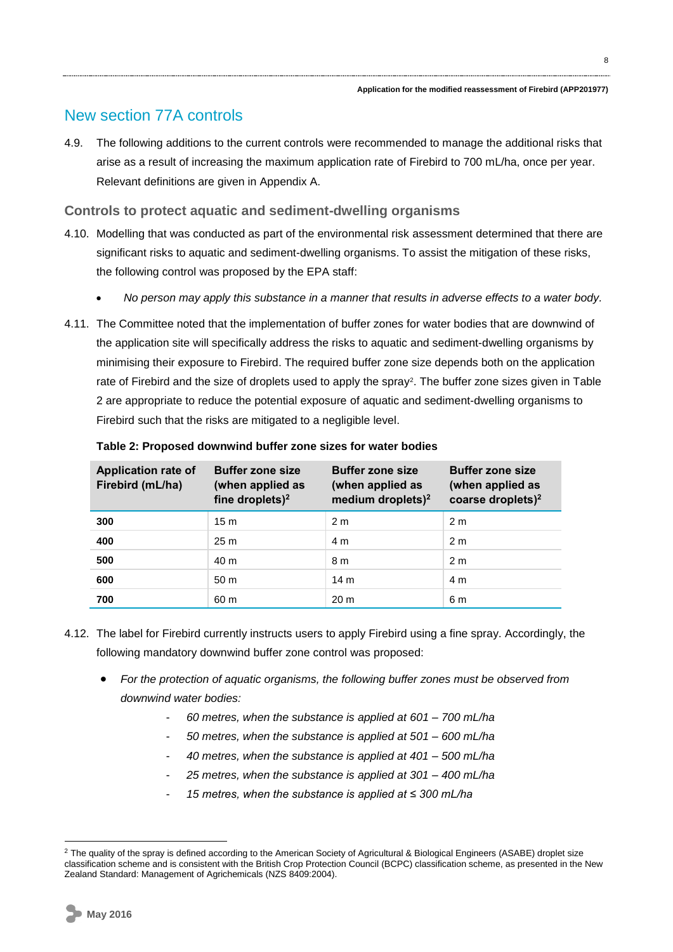# New section 77A controls

4.9. The following additions to the current controls were recommended to manage the additional risks that arise as a result of increasing the maximum application rate of Firebird to 700 mL/ha, once per year. Relevant definitions are given in Appendix A.

### **Controls to protect aquatic and sediment-dwelling organisms**

- 4.10. Modelling that was conducted as part of the environmental risk assessment determined that there are significant risks to aquatic and sediment-dwelling organisms. To assist the mitigation of these risks, the following control was proposed by the EPA staff:
	- *No person may apply this substance in a manner that results in adverse effects to a water body.*
- 4.11. The Committee noted that the implementation of buffer zones for water bodies that are downwind of the application site will specifically address the risks to aquatic and sediment-dwelling organisms by minimising their exposure to Firebird. The required buffer zone size depends both on the application rate of Firebird and the size of droplets used to apply the spray<sup>2</sup>. The buffer zone sizes given in Table [2](#page-7-0) are appropriate to reduce the potential exposure of aquatic and sediment-dwelling organisms to Firebird such that the risks are mitigated to a negligible level.

| <b>Application rate of</b><br>Firebird (mL/ha) | <b>Buffer zone size</b><br>(when applied as<br>fine droplets) <sup>2</sup> | <b>Buffer zone size</b><br>(when applied as<br>medium droplets) $2$ | <b>Buffer zone size</b><br>(when applied as<br>coarse droplets) $2$ |
|------------------------------------------------|----------------------------------------------------------------------------|---------------------------------------------------------------------|---------------------------------------------------------------------|
| 300                                            | 15 <sub>m</sub>                                                            | 2 <sub>m</sub>                                                      | 2 <sub>m</sub>                                                      |
| 400                                            | 25m                                                                        | 4 m                                                                 | 2 <sub>m</sub>                                                      |
| 500                                            | 40 m                                                                       | 8 m                                                                 | 2 <sub>m</sub>                                                      |
| 600                                            | 50 <sub>m</sub>                                                            | 14 <sub>m</sub>                                                     | 4 m                                                                 |
| 700                                            | 60 m                                                                       | 20 <sub>m</sub>                                                     | 6 m                                                                 |

#### <span id="page-7-0"></span>**Table 2: Proposed downwind buffer zone sizes for water bodies**

- 4.12. The label for Firebird currently instructs users to apply Firebird using a fine spray. Accordingly, the following mandatory downwind buffer zone control was proposed:
	- *For the protection of aquatic organisms, the following buffer zones must be observed from downwind water bodies:*
		- *60 metres, when the substance is applied at 601 – 700 mL/ha*
		- *50 metres, when the substance is applied at 501 – 600 mL/ha*
		- *40 metres, when the substance is applied at 401 – 500 mL/ha*
		- *25 metres, when the substance is applied at 301 – 400 mL/ha*
		- *15 metres, when the substance is applied at ≤ 300 mL/ha*

<sup>&</sup>lt;sup>2</sup> The quality of the spray is defined according to the American Society of Agricultural & Biological Engineers (ASABE) droplet size classification scheme and is consistent with the British Crop Protection Council (BCPC) classification scheme, as presented in the New Zealand Standard: Management of Agrichemicals (NZS 8409:2004).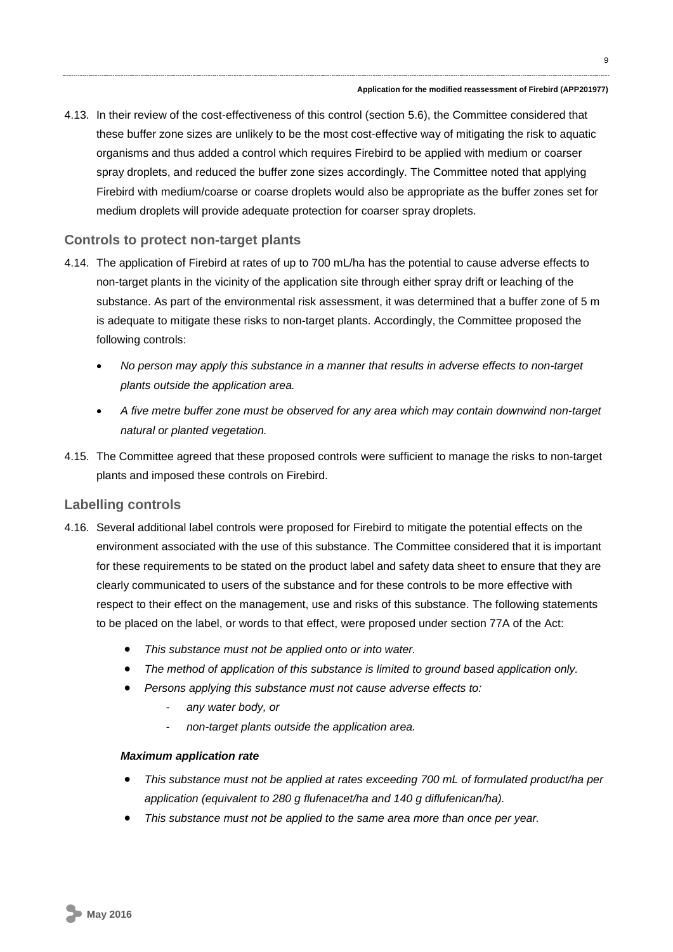4.13. In their review of the cost-effectiveness of this control (section [5.6\)](#page-10-1), the Committee considered that these buffer zone sizes are unlikely to be the most cost-effective way of mitigating the risk to aquatic organisms and thus added a control which requires Firebird to be applied with medium or coarser spray droplets, and reduced the buffer zone sizes accordingly. The Committee noted that applying Firebird with medium/coarse or coarse droplets would also be appropriate as the buffer zones set for medium droplets will provide adequate protection for coarser spray droplets.

### **Controls to protect non-target plants**

- 4.14. The application of Firebird at rates of up to 700 mL/ha has the potential to cause adverse effects to non-target plants in the vicinity of the application site through either spray drift or leaching of the substance. As part of the environmental risk assessment, it was determined that a buffer zone of 5 m is adequate to mitigate these risks to non-target plants. Accordingly, the Committee proposed the following controls:
	- *No person may apply this substance in a manner that results in adverse effects to non-target plants outside the application area.*
	- *A five metre buffer zone must be observed for any area which may contain downwind non-target natural or planted vegetation.*
- 4.15. The Committee agreed that these proposed controls were sufficient to manage the risks to non-target plants and imposed these controls on Firebird.

#### **Labelling controls**

- 4.16. Several additional label controls were proposed for Firebird to mitigate the potential effects on the environment associated with the use of this substance. The Committee considered that it is important for these requirements to be stated on the product label and safety data sheet to ensure that they are clearly communicated to users of the substance and for these controls to be more effective with respect to their effect on the management, use and risks of this substance. The following statements to be placed on the label, or words to that effect, were proposed under section 77A of the Act:
	- *This substance must not be applied onto or into water.*
	- *The method of application of this substance is limited to ground based application only.*
	- *Persons applying this substance must not cause adverse effects to:*
		- *any water body, or*
		- *non-target plants outside the application area.*

#### *Maximum application rate*

- *This substance must not be applied at rates exceeding 700 mL of formulated product/ha per application (equivalent to 280 g flufenacet/ha and 140 g diflufenican/ha).*
- *This substance must not be applied to the same area more than once per year.*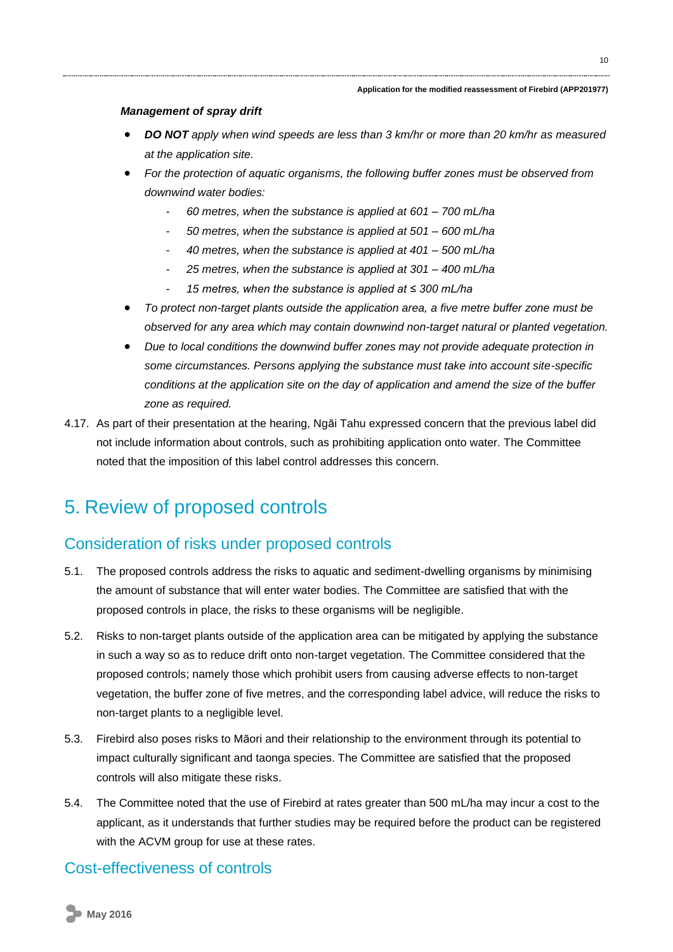#### *Management of spray drift*

- *DO NOT apply when wind speeds are less than 3 km/hr or more than 20 km/hr as measured at the application site.*
- *For the protection of aquatic organisms, the following buffer zones must be observed from downwind water bodies:*
	- *60 metres, when the substance is applied at 601 – 700 mL/ha*
	- *50 metres, when the substance is applied at 501 – 600 mL/ha*
	- *40 metres, when the substance is applied at 401 – 500 mL/ha*
	- *25 metres, when the substance is applied at 301 – 400 mL/ha*
	- *15 metres, when the substance is applied at ≤ 300 mL/ha*
- *To protect non-target plants outside the application area, a five metre buffer zone must be observed for any area which may contain downwind non-target natural or planted vegetation.*
- *Due to local conditions the downwind buffer zones may not provide adequate protection in some circumstances. Persons applying the substance must take into account site-specific conditions at the application site on the day of application and amend the size of the buffer zone as required.*
- 4.17. As part of their presentation at the hearing, Ngāi Tahu expressed concern that the previous label did not include information about controls, such as prohibiting application onto water. The Committee noted that the imposition of this label control addresses this concern.

# <span id="page-9-0"></span>5. Review of proposed controls

### Consideration of risks under proposed controls

- 5.1. The proposed controls address the risks to aquatic and sediment-dwelling organisms by minimising the amount of substance that will enter water bodies. The Committee are satisfied that with the proposed controls in place, the risks to these organisms will be negligible.
- 5.2. Risks to non-target plants outside of the application area can be mitigated by applying the substance in such a way so as to reduce drift onto non-target vegetation. The Committee considered that the proposed controls; namely those which prohibit users from causing adverse effects to non-target vegetation, the buffer zone of five metres, and the corresponding label advice, will reduce the risks to non-target plants to a negligible level.
- 5.3. Firebird also poses risks to Māori and their relationship to the environment through its potential to impact culturally significant and taonga species. The Committee are satisfied that the proposed controls will also mitigate these risks.
- 5.4. The Committee noted that the use of Firebird at rates greater than 500 mL/ha may incur a cost to the applicant, as it understands that further studies may be required before the product can be registered with the ACVM group for use at these rates.

## Cost-effectiveness of controls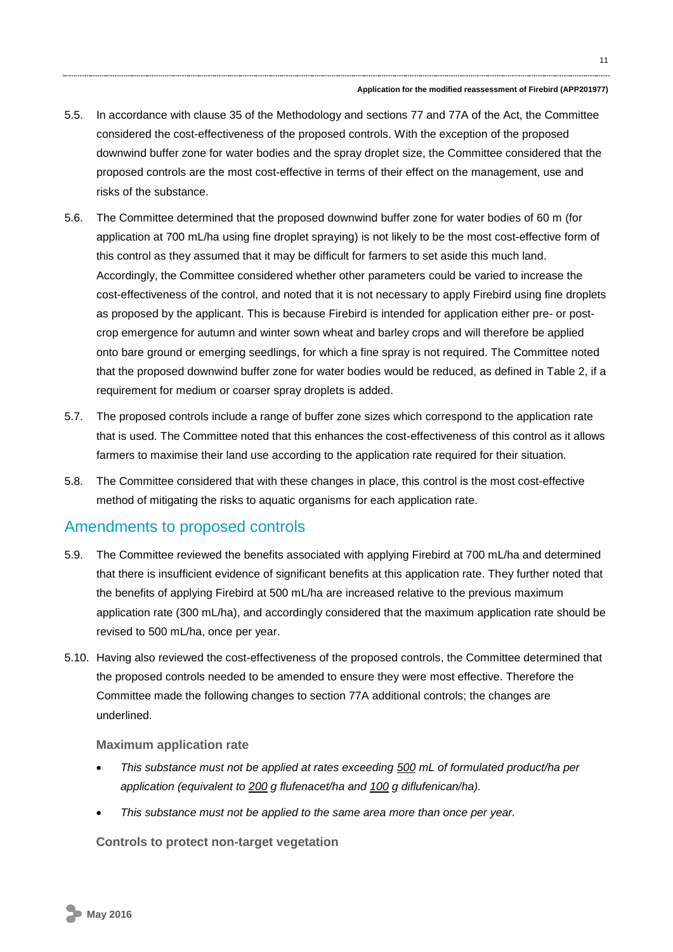- 5.5. In accordance with clause 35 of the Methodology and sections 77 and 77A of the Act, the Committee considered the cost-effectiveness of the proposed controls. With the exception of the proposed downwind buffer zone for water bodies and the spray droplet size, the Committee considered that the proposed controls are the most cost-effective in terms of their effect on the management, use and risks of the substance.
- <span id="page-10-1"></span>5.6. The Committee determined that the proposed downwind buffer zone for water bodies of 60 m (for application at 700 mL/ha using fine droplet spraying) is not likely to be the most cost-effective form of this control as they assumed that it may be difficult for farmers to set aside this much land. Accordingly, the Committee considered whether other parameters could be varied to increase the cost-effectiveness of the control, and noted that it is not necessary to apply Firebird using fine droplets as proposed by the applicant. This is because Firebird is intended for application either pre- or postcrop emergence for autumn and winter sown wheat and barley crops and will therefore be applied onto bare ground or emerging seedlings, for which a fine spray is not required. The Committee noted that the proposed downwind buffer zone for water bodies would be reduced, as defined in [Table 2,](#page-7-0) if a requirement for medium or coarser spray droplets is added.
- 5.7. The proposed controls include a range of buffer zone sizes which correspond to the application rate that is used. The Committee noted that this enhances the cost-effectiveness of this control as it allows farmers to maximise their land use according to the application rate required for their situation.
- 5.8. The Committee considered that with these changes in place, this control is the most cost-effective method of mitigating the risks to aquatic organisms for each application rate.

## Amendments to proposed controls

- <span id="page-10-0"></span>5.9. The Committee reviewed the benefits associated with applying Firebird at 700 mL/ha and determined that there is insufficient evidence of significant benefits at this application rate. They further noted that the benefits of applying Firebird at 500 mL/ha are increased relative to the previous maximum application rate (300 mL/ha), and accordingly considered that the maximum application rate should be revised to 500 mL/ha, once per year.
- 5.10. Having also reviewed the cost-effectiveness of the proposed controls, the Committee determined that the proposed controls needed to be amended to ensure they were most effective. Therefore the Committee made the following changes to section 77A additional controls; the changes are underlined.

#### **Maximum application rate**

- *This substance must not be applied at rates exceeding 500 mL of formulated product/ha per application (equivalent to 200 g flufenacet/ha and 100 g diflufenican/ha).*
- *This substance must not be applied to the same area more than once per year.*

**Controls to protect non-target vegetation**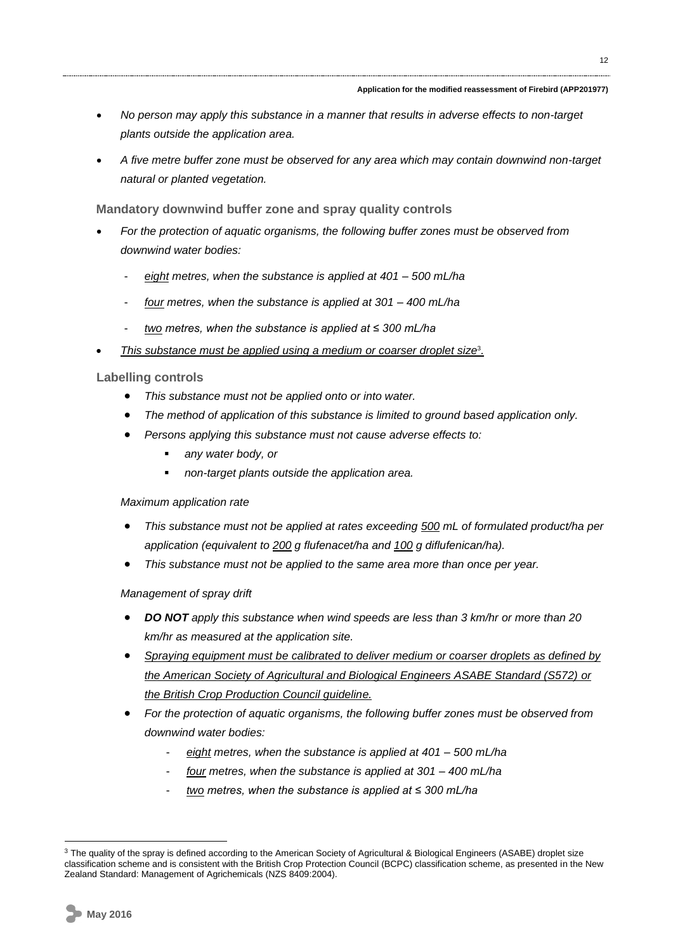- *No person may apply this substance in a manner that results in adverse effects to non-target plants outside the application area.*
- *A five metre buffer zone must be observed for any area which may contain downwind non-target natural or planted vegetation.*

**Mandatory downwind buffer zone and spray quality controls**

- *For the protection of aquatic organisms, the following buffer zones must be observed from downwind water bodies:*
	- *eight metres, when the substance is applied at 401 – 500 mL/ha*
	- *four metres, when the substance is applied at 301 – 400 mL/ha*
	- *two metres, when the substance is applied at ≤ 300 mL/ha*
- This substance must be applied using a medium or coarser droplet size<sup>3</sup>.

### **Labelling controls**

- *This substance must not be applied onto or into water.*
- *The method of application of this substance is limited to ground based application only.*
- *Persons applying this substance must not cause adverse effects to:*
	- *any water body, or*
	- *non-target plants outside the application area.*

### *Maximum application rate*

- *This substance must not be applied at rates exceeding 500 mL of formulated product/ha per application (equivalent to 200 g flufenacet/ha and 100 g diflufenican/ha).*
- *This substance must not be applied to the same area more than once per year.*

### *Management of spray drift*

- *DO NOT apply this substance when wind speeds are less than 3 km/hr or more than 20 km/hr as measured at the application site.*
- *Spraying equipment must be calibrated to deliver medium or coarser droplets as defined by the American Society of Agricultural and Biological Engineers ASABE Standard (S572) or the British Crop Production Council guideline.*
- *For the protection of aquatic organisms, the following buffer zones must be observed from downwind water bodies:*
	- *eight metres, when the substance is applied at 401 – 500 mL/ha*
	- *four metres, when the substance is applied at 301 – 400 mL/ha*
	- *two metres, when the substance is applied at ≤ 300 mL/ha*

<sup>&</sup>lt;sup>3</sup> The quality of the spray is defined according to the American Society of Agricultural & Biological Engineers (ASABE) droplet size classification scheme and is consistent with the British Crop Protection Council (BCPC) classification scheme, as presented in the New Zealand Standard: Management of Agrichemicals (NZS 8409:2004).

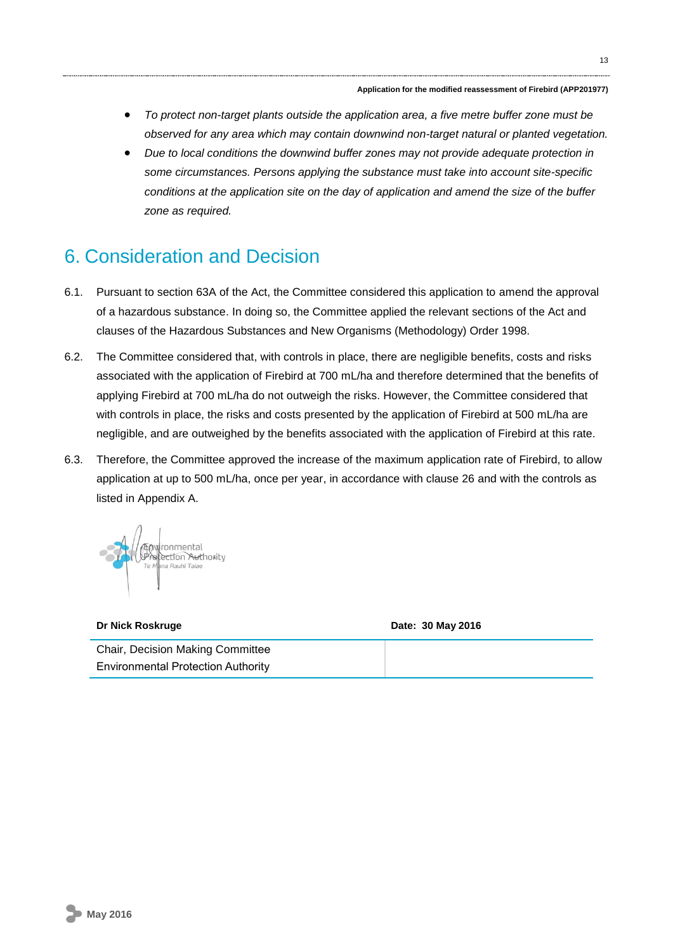13

- *To protect non-target plants outside the application area, a five metre buffer zone must be observed for any area which may contain downwind non-target natural or planted vegetation.*
- *Due to local conditions the downwind buffer zones may not provide adequate protection in some circumstances. Persons applying the substance must take into account site-specific conditions at the application site on the day of application and amend the size of the buffer zone as required.*

# 6. Consideration and Decision

- 6.1. Pursuant to section 63A of the Act, the Committee considered this application to amend the approval of a hazardous substance. In doing so, the Committee applied the relevant sections of the Act and clauses of the Hazardous Substances and New Organisms (Methodology) Order 1998.
- 6.2. The Committee considered that, with controls in place, there are negligible benefits, costs and risks associated with the application of Firebird at 700 mL/ha and therefore determined that the benefits of applying Firebird at 700 mL/ha do not outweigh the risks. However, the Committee considered that with controls in place, the risks and costs presented by the application of Firebird at 500 mL/ha are negligible, and are outweighed by the benefits associated with the application of Firebird at this rate.
- 6.3. Therefore, the Committee approved the increase of the maximum application rate of Firebird, to allow application at up to 500 mL/ha, once per year, in accordance with clause 26 and with the controls as listed in Appendix A.



| Dr Nick Roskruge                          | Date: 30 May 2016 |  |  |
|-------------------------------------------|-------------------|--|--|
| <b>Chair, Decision Making Committee</b>   |                   |  |  |
| <b>Environmental Protection Authority</b> |                   |  |  |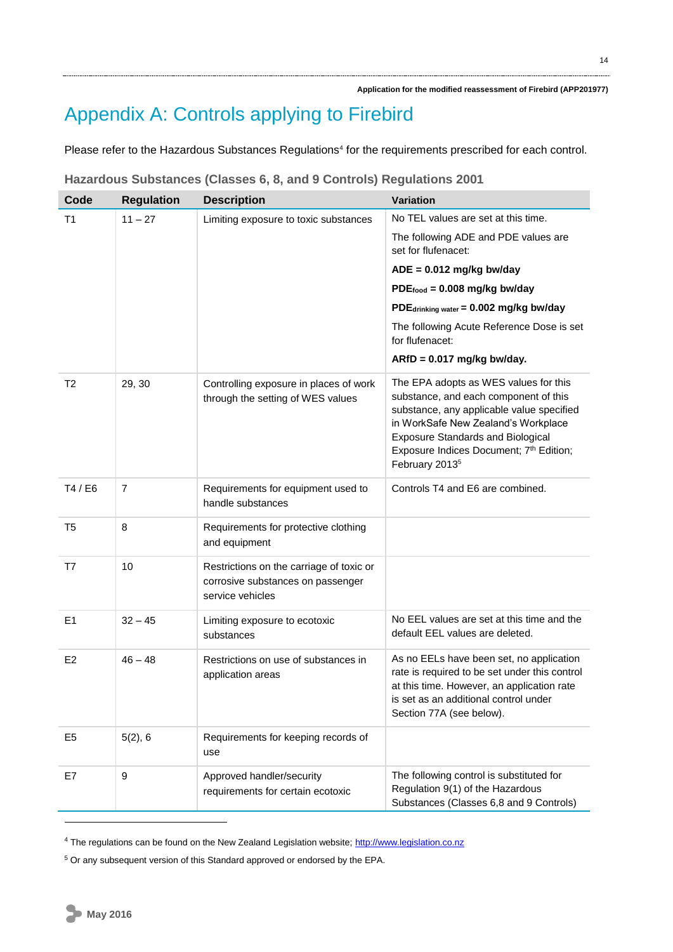# Appendix A: Controls applying to Firebird

Please refer to the Hazardous Substances Regulations<sup>4</sup> for the requirements prescribed for each control.

| Code           | <b>Regulation</b> | <b>Description</b>                                                                                | <b>Variation</b>                                                                                                                                                                                                                                                                        |
|----------------|-------------------|---------------------------------------------------------------------------------------------------|-----------------------------------------------------------------------------------------------------------------------------------------------------------------------------------------------------------------------------------------------------------------------------------------|
| T <sub>1</sub> | $11 - 27$         | Limiting exposure to toxic substances                                                             | No TEL values are set at this time.                                                                                                                                                                                                                                                     |
|                |                   |                                                                                                   | The following ADE and PDE values are<br>set for flufenacet:                                                                                                                                                                                                                             |
|                |                   |                                                                                                   | $ADE = 0.012$ mg/kg bw/day                                                                                                                                                                                                                                                              |
|                |                   |                                                                                                   | $PDE_{food} = 0.008$ mg/kg bw/day                                                                                                                                                                                                                                                       |
|                |                   |                                                                                                   | PDEdrinking water = 0.002 mg/kg bw/day                                                                                                                                                                                                                                                  |
|                |                   |                                                                                                   | The following Acute Reference Dose is set<br>for flufenacet:                                                                                                                                                                                                                            |
|                |                   |                                                                                                   | $ARfD = 0.017$ mg/kg bw/day.                                                                                                                                                                                                                                                            |
| T <sub>2</sub> | 29, 30            | Controlling exposure in places of work<br>through the setting of WES values                       | The EPA adopts as WES values for this<br>substance, and each component of this<br>substance, any applicable value specified<br>in WorkSafe New Zealand's Workplace<br><b>Exposure Standards and Biological</b><br>Exposure Indices Document; 7th Edition;<br>February 2013 <sup>5</sup> |
| T4 / E6        | 7                 | Requirements for equipment used to<br>handle substances                                           | Controls T4 and E6 are combined.                                                                                                                                                                                                                                                        |
| T5             | 8                 | Requirements for protective clothing<br>and equipment                                             |                                                                                                                                                                                                                                                                                         |
| T7             | 10                | Restrictions on the carriage of toxic or<br>corrosive substances on passenger<br>service vehicles |                                                                                                                                                                                                                                                                                         |
| E1             | $32 - 45$         | Limiting exposure to ecotoxic<br>substances                                                       | No EEL values are set at this time and the<br>default EEL values are deleted.                                                                                                                                                                                                           |
| E <sub>2</sub> | $46 - 48$         | Restrictions on use of substances in<br>application areas                                         | As no EELs have been set, no application<br>rate is required to be set under this control<br>at this time. However, an application rate<br>is set as an additional control under<br>Section 77A (see below).                                                                            |
| E <sub>5</sub> | 5(2), 6           | Requirements for keeping records of<br>use                                                        |                                                                                                                                                                                                                                                                                         |
| E7             | 9                 | Approved handler/security<br>requirements for certain ecotoxic                                    | The following control is substituted for<br>Regulation 9(1) of the Hazardous<br>Substances (Classes 6,8 and 9 Controls)                                                                                                                                                                 |

### **Hazardous Substances (Classes 6, 8, and 9 Controls) Regulations 2001**

<sup>&</sup>lt;sup>4</sup> The regulations can be found on the New Zealand Legislation website; [http://www.legislation.co.nz](http://www.legislation.co.nz/)

<sup>&</sup>lt;sup>5</sup> Or any subsequent version of this Standard approved or endorsed by the EPA.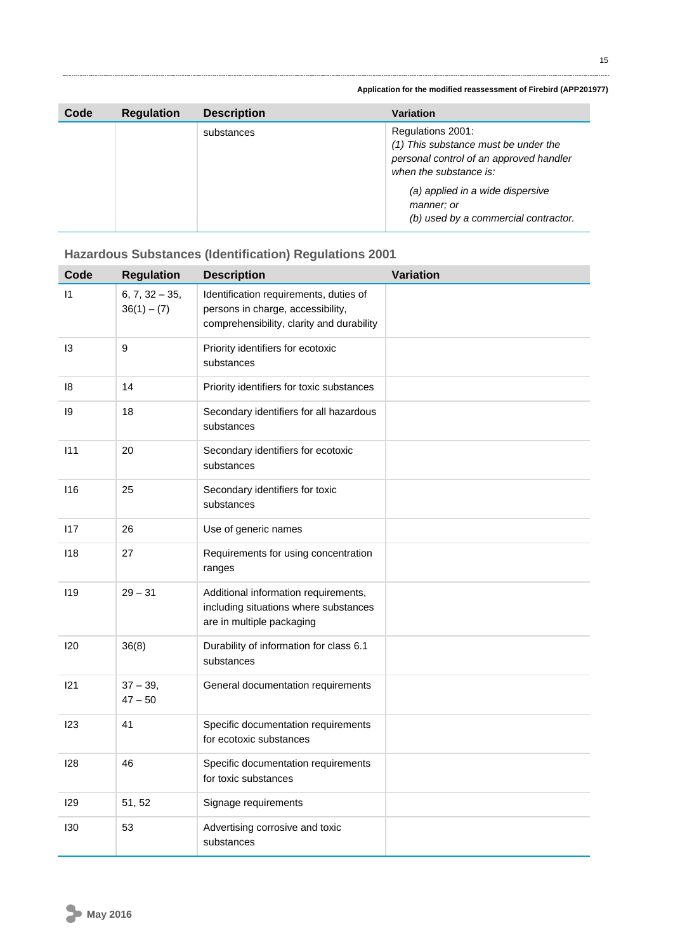| Code | <b>Regulation</b> | <b>Description</b> | <b>Variation</b>                                                                                                                                                                                                         |
|------|-------------------|--------------------|--------------------------------------------------------------------------------------------------------------------------------------------------------------------------------------------------------------------------|
|      |                   | substances         | Regulations 2001:<br>(1) This substance must be under the<br>personal control of an approved handler<br>when the substance is:<br>(a) applied in a wide dispersive<br>manner; or<br>(b) used by a commercial contractor. |

### **Hazardous Substances (Identification) Regulations 2001**

| Code         | <b>Regulation</b>                 | <b>Description</b>                                                                                                       | Variation |
|--------------|-----------------------------------|--------------------------------------------------------------------------------------------------------------------------|-----------|
| $\mathsf{I}$ | $6, 7, 32 - 35,$<br>$36(1) - (7)$ | Identification requirements, duties of<br>persons in charge, accessibility,<br>comprehensibility, clarity and durability |           |
| 13           | 9                                 | Priority identifiers for ecotoxic<br>substances                                                                          |           |
| 18           | 14                                | Priority identifiers for toxic substances                                                                                |           |
| 19           | 18                                | Secondary identifiers for all hazardous<br>substances                                                                    |           |
| 111          | 20                                | Secondary identifiers for ecotoxic<br>substances                                                                         |           |
| 116          | 25                                | Secondary identifiers for toxic<br>substances                                                                            |           |
| 117          | 26                                | Use of generic names                                                                                                     |           |
| 118          | 27                                | Requirements for using concentration<br>ranges                                                                           |           |
| 119          | $29 - 31$                         | Additional information requirements,<br>including situations where substances<br>are in multiple packaging               |           |
| 120          | 36(8)                             | Durability of information for class 6.1<br>substances                                                                    |           |
| 121          | $37 - 39$ ,<br>$47 - 50$          | General documentation requirements                                                                                       |           |
| 123          | 41                                | Specific documentation requirements<br>for ecotoxic substances                                                           |           |
| 128          | 46                                | Specific documentation requirements<br>for toxic substances                                                              |           |
| 129          | 51, 52                            | Signage requirements                                                                                                     |           |
| 130          | 53                                | Advertising corrosive and toxic<br>substances                                                                            |           |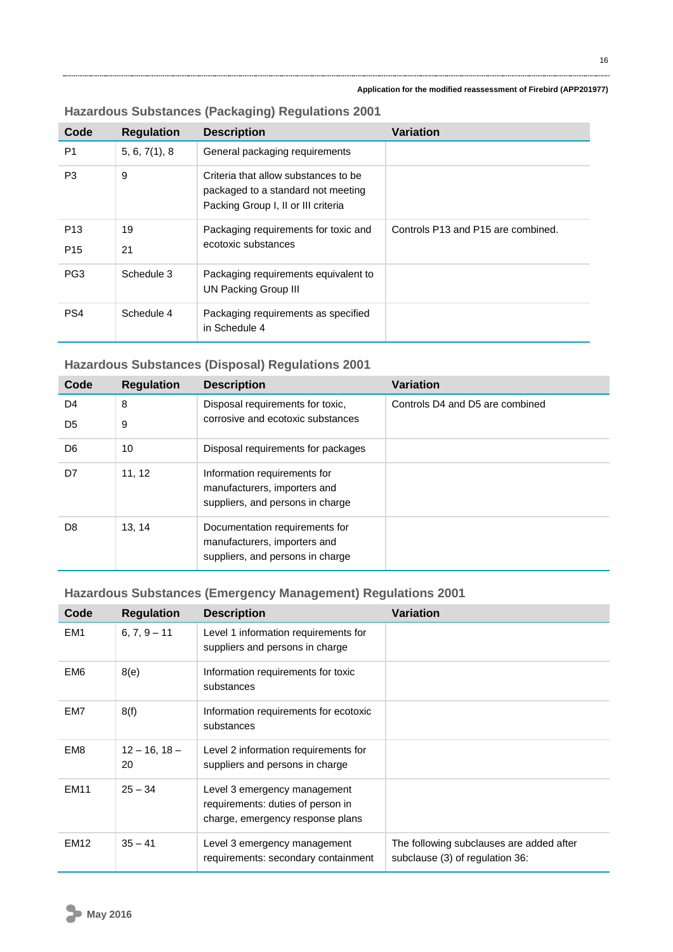| Code            | <b>Regulation</b> | <b>Description</b>                                                                                                | <b>Variation</b>                   |
|-----------------|-------------------|-------------------------------------------------------------------------------------------------------------------|------------------------------------|
| P <sub>1</sub>  | 5, 6, 7(1), 8     | General packaging requirements                                                                                    |                                    |
| P <sub>3</sub>  | 9                 | Criteria that allow substances to be<br>packaged to a standard not meeting<br>Packing Group I, II or III criteria |                                    |
| P <sub>13</sub> | 19                | Packaging requirements for toxic and                                                                              | Controls P13 and P15 are combined. |
| P <sub>15</sub> | 21                | ecotoxic substances                                                                                               |                                    |
| PG <sub>3</sub> | Schedule 3        | Packaging requirements equivalent to<br><b>UN Packing Group III</b>                                               |                                    |
| PS4             | Schedule 4        | Packaging requirements as specified<br>in Schedule 4                                                              |                                    |

### **Hazardous Substances (Packaging) Regulations 2001**

## **Hazardous Substances (Disposal) Regulations 2001**

| Code           | <b>Regulation</b> | <b>Description</b>                                             | <b>Variation</b>                |
|----------------|-------------------|----------------------------------------------------------------|---------------------------------|
| D <sub>4</sub> | 8                 | Disposal requirements for toxic,                               | Controls D4 and D5 are combined |
| D <sub>5</sub> | 9                 | corrosive and ecotoxic substances                              |                                 |
| D <sub>6</sub> | 10                | Disposal requirements for packages                             |                                 |
| D7             | 11, 12            | Information requirements for                                   |                                 |
|                |                   | manufacturers, importers and                                   |                                 |
|                |                   | suppliers, and persons in charge                               |                                 |
| D8             | 13, 14            | Documentation requirements for<br>manufacturers, importers and |                                 |
|                |                   | suppliers, and persons in charge                               |                                 |

# **Hazardous Substances (Emergency Management) Regulations 2001**

| Code            | <b>Regulation</b>        | <b>Description</b>                                                                                    | <b>Variation</b>                                                            |
|-----------------|--------------------------|-------------------------------------------------------------------------------------------------------|-----------------------------------------------------------------------------|
| EM <sub>1</sub> | $6, 7, 9 - 11$           | Level 1 information requirements for<br>suppliers and persons in charge                               |                                                                             |
| EM <sub>6</sub> | 8(e)                     | Information requirements for toxic<br>substances                                                      |                                                                             |
| EM7             | 8(f)                     | Information requirements for ecotoxic<br>substances                                                   |                                                                             |
| EM <sub>8</sub> | $12 - 16$ , $18 -$<br>20 | Level 2 information requirements for<br>suppliers and persons in charge                               |                                                                             |
| <b>EM11</b>     | $25 - 34$                | Level 3 emergency management<br>requirements: duties of person in<br>charge, emergency response plans |                                                                             |
| <b>EM12</b>     | $35 - 41$                | Level 3 emergency management<br>requirements: secondary containment                                   | The following subclauses are added after<br>subclause (3) of regulation 36: |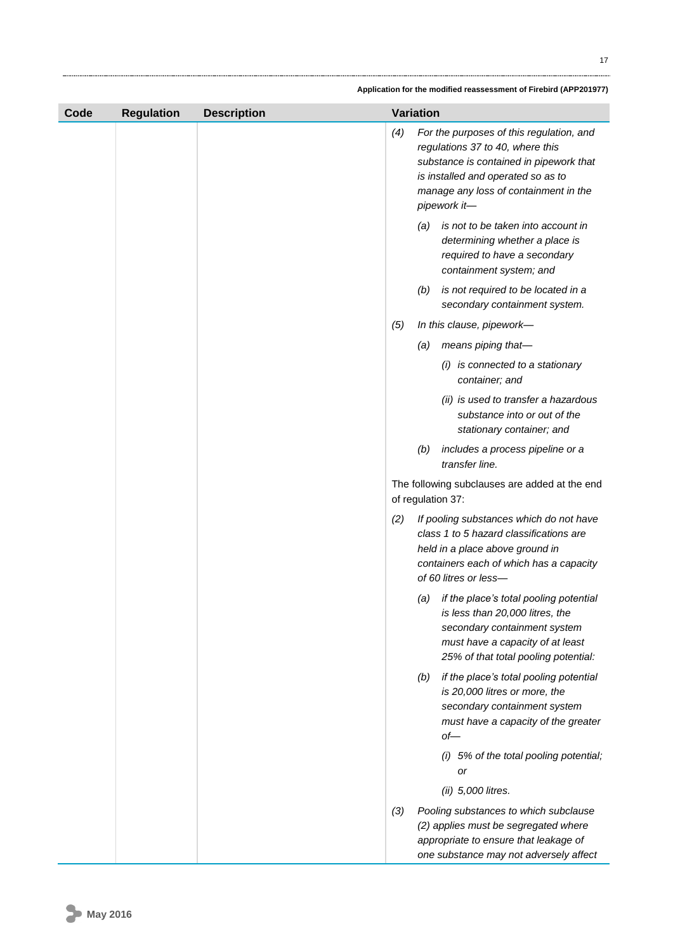| Code | <b>Regulation</b> | <b>Description</b> | <b>Variation</b> |     |                                                                                                                                                                                                                        |
|------|-------------------|--------------------|------------------|-----|------------------------------------------------------------------------------------------------------------------------------------------------------------------------------------------------------------------------|
|      |                   |                    | (4)              |     | For the purposes of this regulation, and<br>regulations 37 to 40, where this<br>substance is contained in pipework that<br>is installed and operated so as to<br>manage any loss of containment in the<br>pipework it- |
|      |                   |                    |                  | (a) | is not to be taken into account in<br>determining whether a place is<br>required to have a secondary<br>containment system; and                                                                                        |
|      |                   |                    |                  | (b) | is not required to be located in a<br>secondary containment system.                                                                                                                                                    |
|      |                   |                    | (5)              |     | In this clause, pipework-                                                                                                                                                                                              |
|      |                   |                    |                  | (a) | means piping that-                                                                                                                                                                                                     |
|      |                   |                    |                  |     | (i) is connected to a stationary<br>container; and                                                                                                                                                                     |
|      |                   |                    |                  |     | (ii) is used to transfer a hazardous<br>substance into or out of the<br>stationary container; and                                                                                                                      |
|      |                   |                    |                  | (b) | includes a process pipeline or a<br>transfer line.                                                                                                                                                                     |
|      |                   |                    |                  |     | The following subclauses are added at the end<br>of regulation 37:                                                                                                                                                     |
|      |                   |                    | (2)              |     | If pooling substances which do not have<br>class 1 to 5 hazard classifications are<br>held in a place above ground in<br>containers each of which has a capacity<br>of 60 litres or less-                              |
|      |                   |                    |                  | (a) | if the place's total pooling potential<br>is less than 20,000 litres, the<br>secondary containment system<br>must have a capacity of at least<br>25% of that total pooling potential:                                  |
|      |                   |                    |                  | (b) | if the place's total pooling potential<br>is 20,000 litres or more, the<br>secondary containment system<br>must have a capacity of the greater<br>$of$ —                                                               |
|      |                   |                    |                  |     | (i) 5% of the total pooling potential;<br>or                                                                                                                                                                           |
|      |                   |                    |                  |     | (ii) 5,000 litres.                                                                                                                                                                                                     |
|      |                   |                    | (3)              |     | Pooling substances to which subclause<br>(2) applies must be segregated where<br>appropriate to ensure that leakage of<br>one substance may not adversely affect                                                       |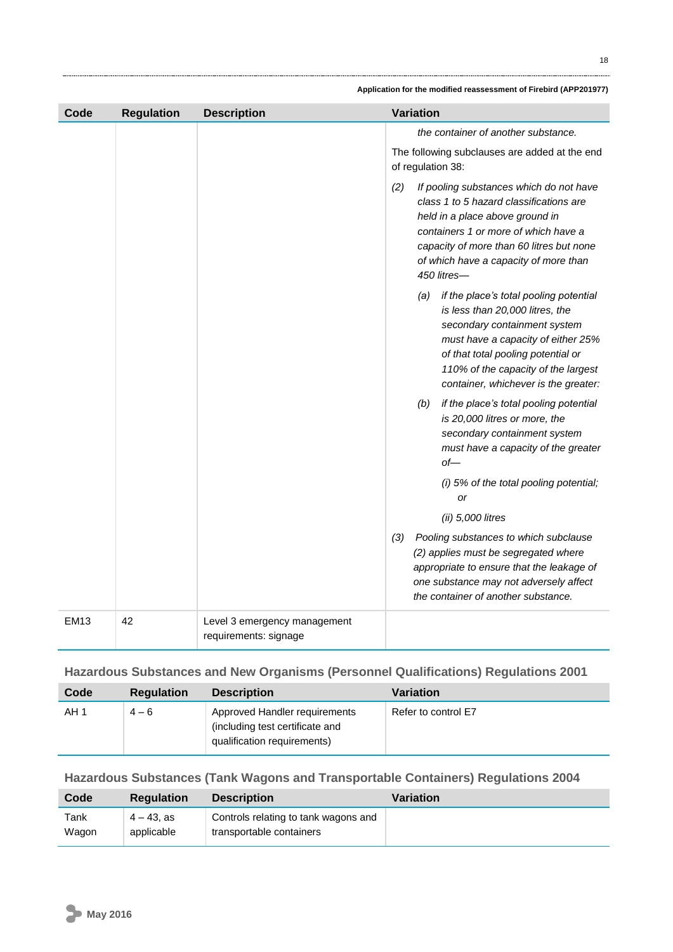| Code        | <b>Regulation</b> | <b>Description</b>                                    | Variation |                                                                                                                                                                                                                                                                             |
|-------------|-------------------|-------------------------------------------------------|-----------|-----------------------------------------------------------------------------------------------------------------------------------------------------------------------------------------------------------------------------------------------------------------------------|
|             |                   |                                                       |           | the container of another substance.                                                                                                                                                                                                                                         |
|             |                   |                                                       |           | The following subclauses are added at the end<br>of regulation 38:                                                                                                                                                                                                          |
|             |                   |                                                       | (2)       | If pooling substances which do not have<br>class 1 to 5 hazard classifications are<br>held in a place above ground in<br>containers 1 or more of which have a<br>capacity of more than 60 litres but none<br>of which have a capacity of more than<br>450 litres-           |
|             |                   |                                                       |           | if the place's total pooling potential<br>(a)<br>is less than 20,000 litres, the<br>secondary containment system<br>must have a capacity of either 25%<br>of that total pooling potential or<br>110% of the capacity of the largest<br>container, whichever is the greater: |
|             |                   |                                                       |           | if the place's total pooling potential<br>(b)<br>is 20,000 litres or more, the<br>secondary containment system<br>must have a capacity of the greater<br>$of$ —                                                                                                             |
|             |                   |                                                       |           | (i) 5% of the total pooling potential;<br><b>or</b>                                                                                                                                                                                                                         |
|             |                   |                                                       |           | $(ii)$ 5,000 litres                                                                                                                                                                                                                                                         |
|             |                   |                                                       | (3)       | Pooling substances to which subclause<br>(2) applies must be segregated where<br>appropriate to ensure that the leakage of<br>one substance may not adversely affect<br>the container of another substance.                                                                 |
| <b>EM13</b> | 42                | Level 3 emergency management<br>requirements: signage |           |                                                                                                                                                                                                                                                                             |

## **Hazardous Substances and New Organisms (Personnel Qualifications) Regulations 2001**

| Code | <b>Regulation</b> | <b>Description</b>                                                                              | Variation           |
|------|-------------------|-------------------------------------------------------------------------------------------------|---------------------|
| AH 1 | $4 - 6$           | Approved Handler requirements<br>(including test certificate and<br>qualification requirements) | Refer to control E7 |

## **Hazardous Substances (Tank Wagons and Transportable Containers) Regulations 2004**

| Code  | <b>Regulation</b> | <b>Description</b>                   | Variation |
|-------|-------------------|--------------------------------------|-----------|
| Tank  | $4 - 43$ . as     | Controls relating to tank wagons and |           |
| Wagon | applicable        | transportable containers             |           |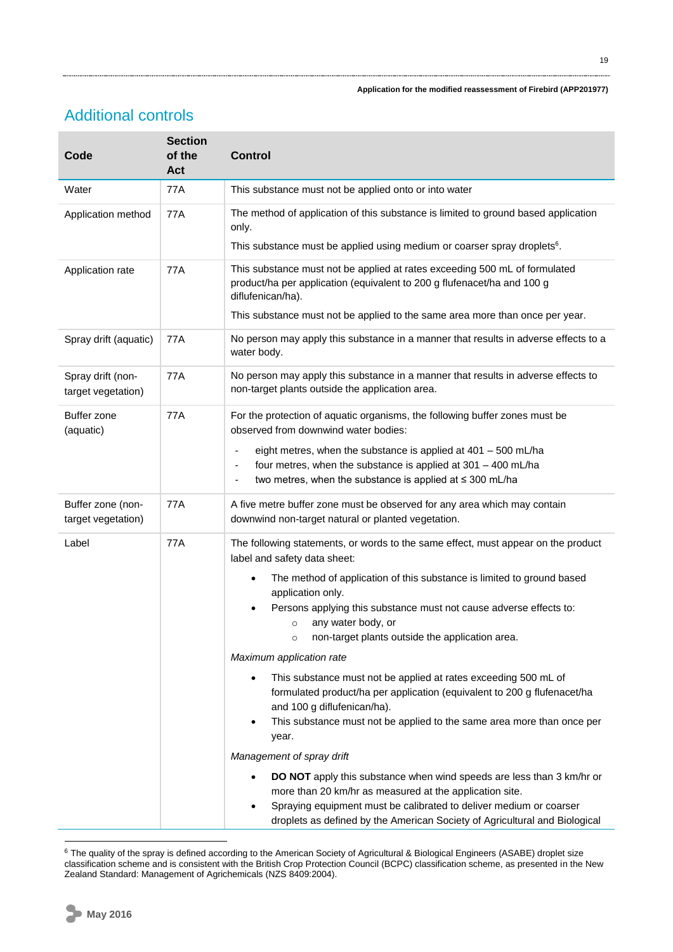# Additional controls

| Code                                    | <b>Section</b><br>of the<br>Act | <b>Control</b>                                                                                                                                                                                                                                                                                                            |
|-----------------------------------------|---------------------------------|---------------------------------------------------------------------------------------------------------------------------------------------------------------------------------------------------------------------------------------------------------------------------------------------------------------------------|
| Water                                   | 77A                             | This substance must not be applied onto or into water                                                                                                                                                                                                                                                                     |
| Application method                      | 77A                             | The method of application of this substance is limited to ground based application<br>only.<br>This substance must be applied using medium or coarser spray droplets <sup>6</sup> .                                                                                                                                       |
| Application rate                        | <b>77A</b>                      | This substance must not be applied at rates exceeding 500 mL of formulated<br>product/ha per application (equivalent to 200 g flufenacet/ha and 100 g<br>diflufenican/ha).<br>This substance must not be applied to the same area more than once per year.                                                                |
| Spray drift (aquatic)                   | 77A                             | No person may apply this substance in a manner that results in adverse effects to a<br>water body.                                                                                                                                                                                                                        |
| Spray drift (non-<br>target vegetation) | 77A                             | No person may apply this substance in a manner that results in adverse effects to<br>non-target plants outside the application area.                                                                                                                                                                                      |
| Buffer zone<br>(aquatic)                | 77A                             | For the protection of aquatic organisms, the following buffer zones must be<br>observed from downwind water bodies:<br>eight metres, when the substance is applied at $401 - 500$ mL/ha<br>four metres, when the substance is applied at 301 - 400 mL/ha<br>two metres, when the substance is applied at $\leq$ 300 mL/ha |
| Buffer zone (non-<br>target vegetation) | 77A                             | A five metre buffer zone must be observed for any area which may contain<br>downwind non-target natural or planted vegetation.                                                                                                                                                                                            |
| Label                                   | 77A                             | The following statements, or words to the same effect, must appear on the product<br>label and safety data sheet:                                                                                                                                                                                                         |
|                                         |                                 | The method of application of this substance is limited to ground based<br>$\bullet$<br>application only.                                                                                                                                                                                                                  |
|                                         |                                 | Persons applying this substance must not cause adverse effects to:<br>any water body, or<br>$\circ$                                                                                                                                                                                                                       |
|                                         |                                 | non-target plants outside the application area.<br>O                                                                                                                                                                                                                                                                      |
|                                         |                                 | Maximum application rate<br>This substance must not be applied at rates exceeding 500 mL of<br>$\bullet$<br>formulated product/ha per application (equivalent to 200 g flufenacet/ha<br>and 100 g diflufenican/ha).<br>This substance must not be applied to the same area more than once per<br>$\bullet$<br>year.       |
|                                         |                                 | Management of spray drift                                                                                                                                                                                                                                                                                                 |
|                                         |                                 | DO NOT apply this substance when wind speeds are less than 3 km/hr or<br>more than 20 km/hr as measured at the application site.<br>Spraying equipment must be calibrated to deliver medium or coarser<br>droplets as defined by the American Society of Agricultural and Biological                                      |

<sup>1</sup>  $6$  The quality of the spray is defined according to the American Society of Agricultural & Biological Engineers (ASABE) droplet size classification scheme and is consistent with the British Crop Protection Council (BCPC) classification scheme, as presented in the New Zealand Standard: Management of Agrichemicals (NZS 8409:2004).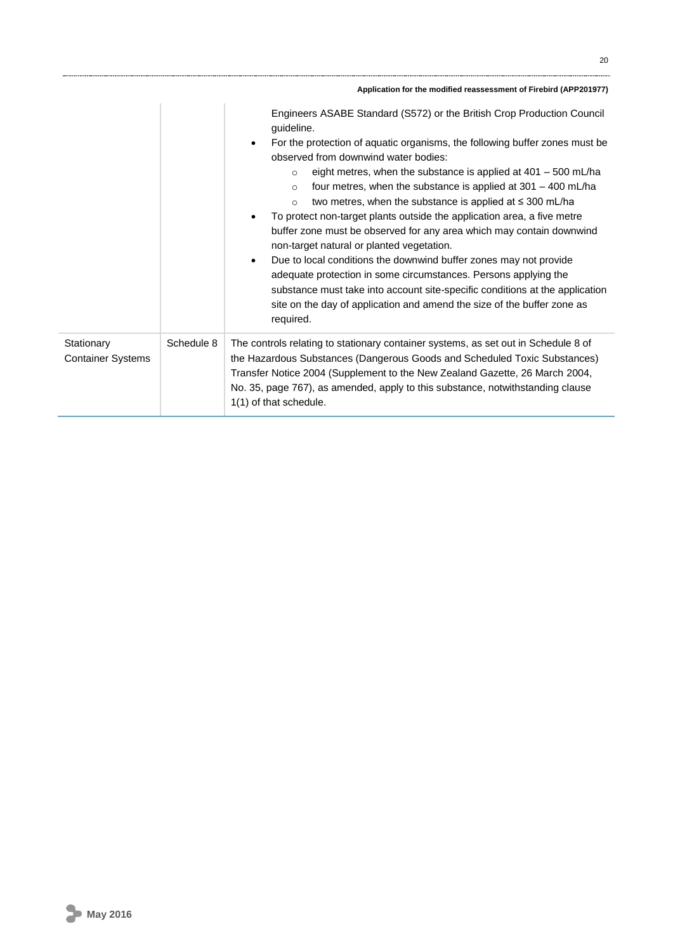|                                        |            | Application for the modified reassessment of Firebird (APP201977)                                                                                                                                                                                                                                                                                                                                                                                                                                                                                                                                                                                                                                                                                                                                                                                                                                                                                                                                   |
|----------------------------------------|------------|-----------------------------------------------------------------------------------------------------------------------------------------------------------------------------------------------------------------------------------------------------------------------------------------------------------------------------------------------------------------------------------------------------------------------------------------------------------------------------------------------------------------------------------------------------------------------------------------------------------------------------------------------------------------------------------------------------------------------------------------------------------------------------------------------------------------------------------------------------------------------------------------------------------------------------------------------------------------------------------------------------|
|                                        |            | Engineers ASABE Standard (S572) or the British Crop Production Council<br>guideline.<br>For the protection of aquatic organisms, the following buffer zones must be<br>$\bullet$<br>observed from downwind water bodies:<br>eight metres, when the substance is applied at $401 - 500$ mL/ha<br>$\circ$<br>four metres, when the substance is applied at $301 - 400$ mL/ha<br>$\circ$<br>two metres, when the substance is applied at $\leq$ 300 mL/ha<br>$\circ$<br>To protect non-target plants outside the application area, a five metre<br>٠<br>buffer zone must be observed for any area which may contain downwind<br>non-target natural or planted vegetation.<br>Due to local conditions the downwind buffer zones may not provide<br>$\bullet$<br>adequate protection in some circumstances. Persons applying the<br>substance must take into account site-specific conditions at the application<br>site on the day of application and amend the size of the buffer zone as<br>required. |
| Stationary<br><b>Container Systems</b> | Schedule 8 | The controls relating to stationary container systems, as set out in Schedule 8 of<br>the Hazardous Substances (Dangerous Goods and Scheduled Toxic Substances)<br>Transfer Notice 2004 (Supplement to the New Zealand Gazette, 26 March 2004,<br>No. 35, page 767), as amended, apply to this substance, notwithstanding clause<br>1(1) of that schedule.                                                                                                                                                                                                                                                                                                                                                                                                                                                                                                                                                                                                                                          |